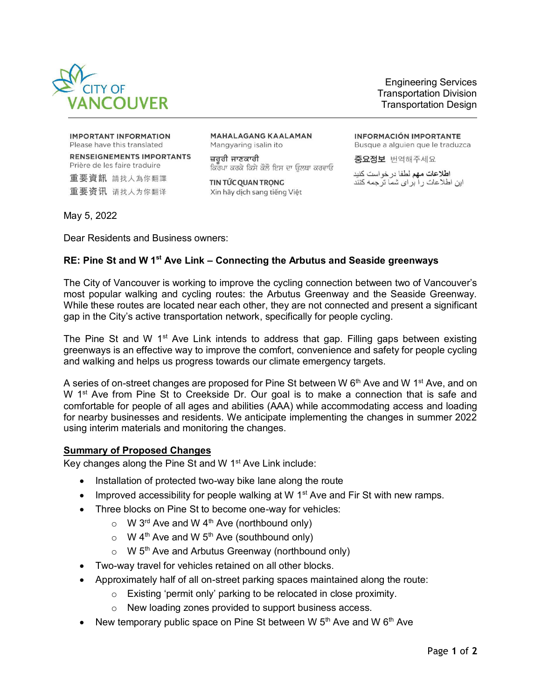

Engineering Services Transportation Division Transportation Design

**IMPORTANT INFORMATION** Please have this translated

**RENSEIGNEMENTS IMPORTANTS** Prière de les faire traduire 重要資訊 請找人為你翻譯

重要资讯 请找人为你翻译

**MAHALAGANG KAALAMAN** Mangyaring isalin ito

ਜ਼ਰਰੀ ਜਾਣਕਾਰੀ ਕਿਰਪਾ ਕਰਕੇ ਕਿਸੇ ਕੋਲੋ ਇਸ ਦਾ ਓਲਥਾ ਕਰਵਾਓ

TIN TỨC QUAN TRONG Xin hãy dịch sang tiếng Việt **INFORMACIÓN IMPORTANTE** Busque a alguien que le traduzca

증요정보 번역해주세요

اطلاعات مهم لطفا در خواست كنيد این اطلاعات را بر ای شما تر جمه کنند

May 5, 2022

Dear Residents and Business owners:

## **RE: Pine St and W 1st Ave Link – Connecting the Arbutus and Seaside greenways**

The City of Vancouver is working to improve the cycling connection between two of Vancouver's most popular walking and cycling routes: the Arbutus Greenway and the Seaside Greenway. While these routes are located near each other, they are not connected and present a significant gap in the City's active transportation network, specifically for people cycling.

The Pine St and W 1<sup>st</sup> Ave Link intends to address that gap. Filling gaps between existing greenways is an effective way to improve the comfort, convenience and safety for people cycling and walking and helps us progress towards our climate emergency targets.

A series of on-street changes are proposed for Pine St between W  $6<sup>th</sup>$  Ave and W 1<sup>st</sup> Ave, and on W 1<sup>st</sup> Ave from Pine St to Creekside Dr. Our goal is to make a connection that is safe and comfortable for people of all ages and abilities (AAA) while accommodating access and loading for nearby businesses and residents. We anticipate implementing the changes in summer 2022 using interim materials and monitoring the changes.

## **Summary of Proposed Changes**

Key changes along the Pine St and W  $1<sup>st</sup>$  Ave Link include:

- Installation of protected two-way bike lane along the route
- Improved accessibility for people walking at W  $1<sup>st</sup>$  Ave and Fir St with new ramps.
- Three blocks on Pine St to become one-way for vehicles:
	- $\circ$  W 3<sup>rd</sup> Ave and W 4<sup>th</sup> Ave (northbound only)
	- $\circ$  W 4<sup>th</sup> Ave and W 5<sup>th</sup> Ave (southbound only)
	- $\circ$  W 5<sup>th</sup> Ave and Arbutus Greenway (northbound only)
- Two-way travel for vehicles retained on all other blocks.
- Approximately half of all on-street parking spaces maintained along the route:
	- o Existing 'permit only' parking to be relocated in close proximity.
	- o New loading zones provided to support business access.
- New temporary public space on Pine St between W  $5<sup>th</sup>$  Ave and W  $6<sup>th</sup>$  Ave